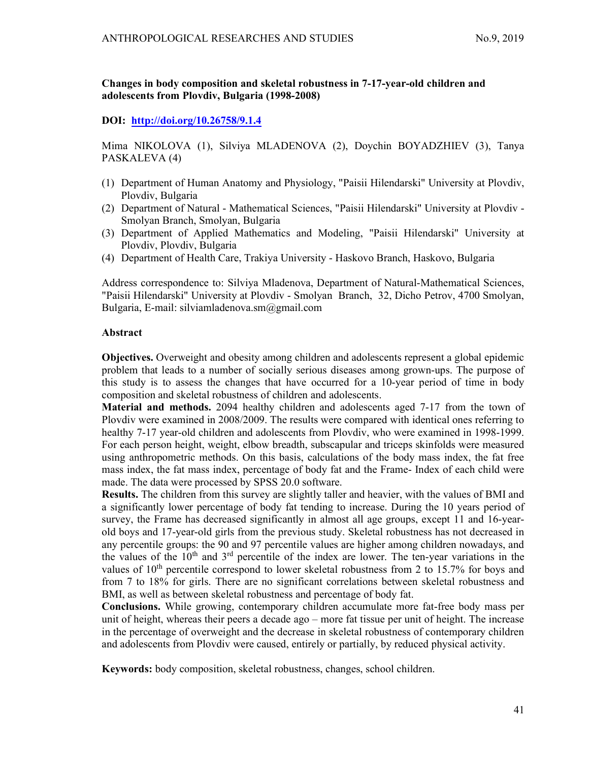# Changes in body composition and skeletal robustness in 7-17-year-old children and adolescents from Plovdiv, Bulgaria (1998-2008)

# DOI: http://doi.org/10.26758/9.1.4

Mima NIKOLOVA (1), Silviya MLADENOVA (2), Doychin BOYADZHIEV (3), Tanya PASKALEVA (4)

- (1) Department of Human Anatomy and Physiology, "Paisii Hilendarski" University at Plovdiv, Plovdiv, Bulgaria
- (2) Department of Natural Mathematical Sciences, "Paisii Hilendarski" University at Plovdiv Smolyan Branch, Smolyan, Bulgaria
- (3) Department of Applied Mathematics and Modeling, "Paisii Hilendarski" University at Plovdiv, Plovdiv, Bulgaria
- (4) Department of Health Care, Trakiya University Haskovo Branch, Haskovo, Bulgaria

Address correspondence to: Silviya Mladenova, Department of Natural-Mathematical Sciences, "Paisii Hilendarski" University at Plovdiv - Smolyan Branch, 32, Dicho Petrov, 4700 Smolyan, Bulgaria, E-mail: silviamladenova.sm@gmail.com

# Abstract

Objectives. Overweight and obesity among children and adolescents represent a global epidemic problem that leads to a number of socially serious diseases among grown-ups. The purpose of this study is to assess the changes that have occurred for a 10-year period of time in body composition and skeletal robustness of children and adolescents.

Material and methods. 2094 healthy children and adolescents aged 7-17 from the town of Plovdiv were examined in 2008/2009. The results were compared with identical ones referring to healthy 7-17 year-old children and adolescents from Plovdiv, who were examined in 1998-1999. For each person height, weight, elbow breadth, subscapular and triceps skinfolds were measured using anthropometric methods. On this basis, calculations of the body mass index, the fat free mass index, the fat mass index, percentage of body fat and the Frame- Index of each child were made. The data were processed by SPSS 20.0 software.

Results. The children from this survey are slightly taller and heavier, with the values of BMI and a significantly lower percentage of body fat tending to increase. During the 10 years period of survey, the Frame has decreased significantly in almost all age groups, except 11 and 16-yearold boys and 17-year-old girls from the previous study. Skeletal robustness has not decreased in any percentile groups: the 90 and 97 percentile values are higher among children nowadays, and the values of the  $10<sup>th</sup>$  and  $3<sup>rd</sup>$  percentile of the index are lower. The ten-year variations in the values of  $10^{th}$  percentile correspond to lower skeletal robustness from 2 to 15.7% for boys and from 7 to 18% for girls. There are no significant correlations between skeletal robustness and BMI, as well as between skeletal robustness and percentage of body fat.

Conclusions. While growing, contemporary children accumulate more fat-free body mass per unit of height, whereas their peers a decade ago – more fat tissue per unit of height. The increase in the percentage of overweight and the decrease in skeletal robustness of contemporary children and adolescents from Plovdiv were caused, entirely or partially, by reduced physical activity.

Keywords: body composition, skeletal robustness, changes, school children.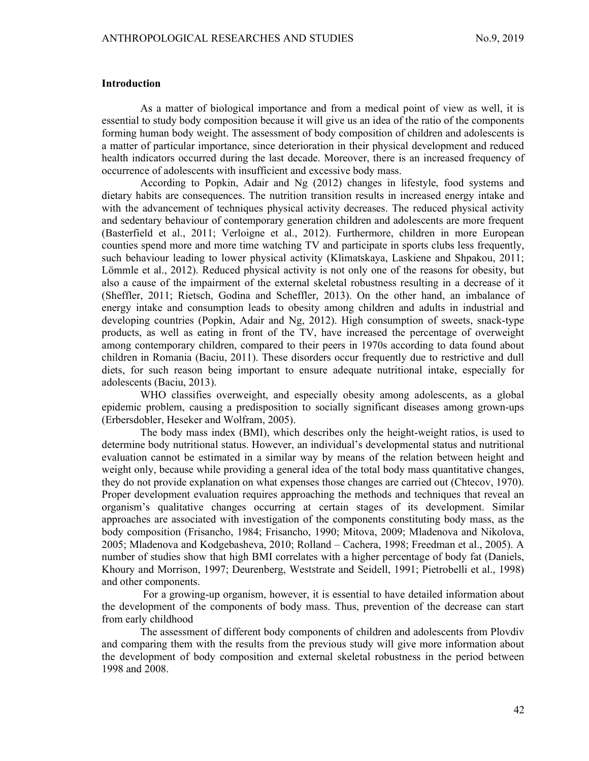## Introduction

As a matter of biological importance and from a medical point of view as well, it is essential to study body composition because it will give us an idea of the ratio of the components forming human body weight. The assessment of body composition of children and adolescents is a matter of particular importance, since deterioration in their physical development and reduced health indicators occurred during the last decade. Moreover, there is an increased frequency of occurrence of adolescents with insufficient and excessive body mass.

According to Popkin, Adair and Ng (2012) changes in lifestyle, food systems and dietary habits are consequences. The nutrition transition results in increased energy intake and with the advancement of techniques physical activity decreases. The reduced physical activity and sedentary behaviour of contemporary generation children and adolescents are more frequent (Basterfield et al., 2011; Verloigne et al., 2012). Furthermore, children in more European counties spend more and more time watching TV and participate in sports clubs less frequently, such behaviour leading to lower physical activity (Klimatskaya, Laskiene and Shpakou, 2011; Lömmle et al., 2012). Reduced physical activity is not only one of the reasons for obesity, but also a cause of the impairment of the external skeletal robustness resulting in a decrease of it (Sheffler, 2011; Rietsch, Godina and Scheffler, 2013). On the other hand, an imbalance of energy intake and consumption leads to obesity among children and adults in industrial and developing countries (Popkin, Adair and Ng, 2012). High consumption of sweets, snack-type products, as well as eating in front of the TV, have increased the percentage of overweight among contemporary children, compared to their peers in 1970s according to data found about children in Romania (Baciu, 2011). These disorders occur frequently due to restrictive and dull diets, for such reason being important to ensure adequate nutritional intake, especially for adolescents (Baciu, 2013).

WHO classifies overweight, and especially obesity among adolescents, as a global epidemic problem, causing a predisposition to socially significant diseases among grown-ups (Erbersdobler, Heseker and Wolfram, 2005).

The body mass index (BMI), which describes only the height-weight ratios, is used to determine body nutritional status. However, an individual's developmental status and nutritional evaluation cannot be estimated in a similar way by means of the relation between height and weight only, because while providing a general idea of the total body mass quantitative changes, they do not provide explanation on what expenses those changes are carried out (Chtecov, 1970). Proper development evaluation requires approaching the methods and techniques that reveal an organism's qualitative changes occurring at certain stages of its development. Similar approaches are associated with investigation of the components constituting body mass, as the body composition (Frisancho, 1984; Frisancho, 1990; Mitova, 2009; Mladenova and Nikolova, 2005; Mladenova and Kodgebasheva, 2010; Rolland – Cachera, 1998; Freedman et al., 2005). A number of studies show that high BMI correlates with a higher percentage of body fat (Daniels, Khoury and Morrison, 1997; Deurenberg, Weststrate and Seidell, 1991; Pietrobelli et al., 1998) and other components.

 For a growing-up organism, however, it is essential to have detailed information about the development of the components of body mass. Thus, prevention of the decrease can start from early childhood

The assessment of different body components of children and adolescents from Plovdiv and comparing them with the results from the previous study will give more information about the development of body composition and external skeletal robustness in the period between 1998 and 2008.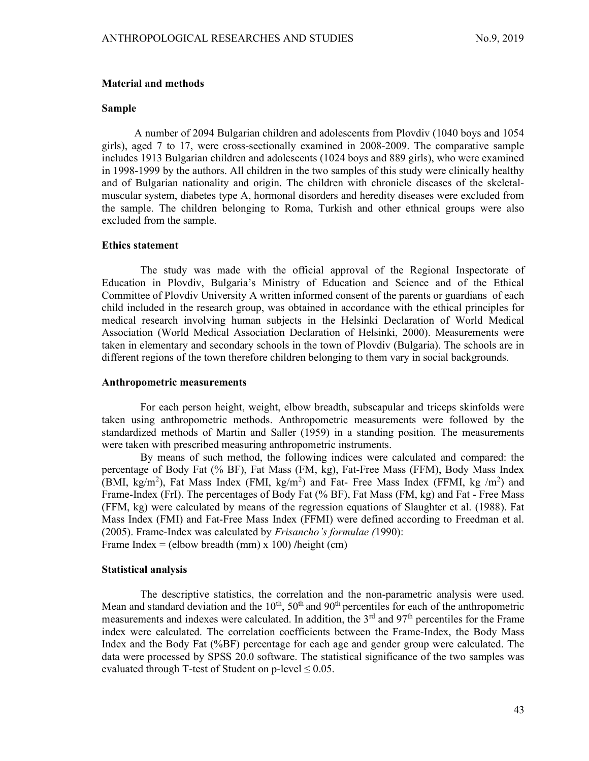### Material and methods

# Sample

A number of 2094 Bulgarian children and adolescents from Plovdiv (1040 boys and 1054 girls), aged 7 to 17, were cross-sectionally examined in 2008-2009. The comparative sample includes 1913 Bulgarian children and adolescents (1024 boys and 889 girls), who were examined in 1998-1999 by the authors. All children in the two samples of this study were clinically healthy and of Bulgarian nationality and origin. The children with chronicle diseases of the skeletalmuscular system, diabetes type A, hormonal disorders and heredity diseases were excluded from the sample. The children belonging to Roma, Turkish and other ethnical groups were also excluded from the sample.

## Ethics statement

The study was made with the official approval of the Regional Inspectorate of Education in Plovdiv, Bulgaria's Ministry of Education and Science and of the Ethical Committee of Plovdiv University A written informed consent of the parents or guardians of each child included in the research group, was obtained in accordance with the ethical principles for medical research involving human subjects in the Helsinki Declaration of World Medical Association (World Medical Association Declaration of Helsinki, 2000). Measurements were taken in elementary and secondary schools in the town of Plovdiv (Bulgaria). The schools are in different regions of the town therefore children belonging to them vary in social backgrounds.

## Anthropometric measurements

 For each person height, weight, elbow breadth, subscapular and triceps skinfolds were taken using anthropometric methods. Anthropometric measurements were followed by the standardized methods of Martin and Saller (1959) in a standing position. The measurements were taken with prescribed measuring anthropometric instruments.

By means of such method, the following indices were calculated and compared: the percentage of Body Fat (% BF), Fat Mass (FM, kg), Fat-Free Mass (FFM), Body Mass Index (BMI, kg/m<sup>2</sup>), Fat Mass Index (FMI, kg/m<sup>2</sup>) and Fat- Free Mass Index (FFMI, kg /m<sup>2</sup>) and Frame-Index (FrI). The percentages of Body Fat (% BF), Fat Mass (FM, kg) and Fat - Free Mass (FFM, kg) were calculated by means of the regression equations of Slaughter et al. (1988). Fat Mass Index (FMI) and Fat-Free Mass Index (FFMI) were defined according to Freedman et al. (2005). Frame-Index was calculated by Frisancho's formulae (1990): Frame Index = (elbow breadth (mm)  $x$  100) /height (cm)

# Statistical analysis

The descriptive statistics, the correlation and the non-parametric analysis were used. Mean and standard deviation and the  $10^{th}$ ,  $50^{th}$  and  $90^{th}$  percentiles for each of the anthropometric measurements and indexes were calculated. In addition, the  $3<sup>rd</sup>$  and  $97<sup>th</sup>$  percentiles for the Frame index were calculated. The correlation coefficients between the Frame-Index, the Body Mass Index and the Body Fat (%BF) percentage for each age and gender group were calculated. The data were processed by SPSS 20.0 software. The statistical significance of the two samples was evaluated through T-test of Student on p-level  $\leq 0.05$ .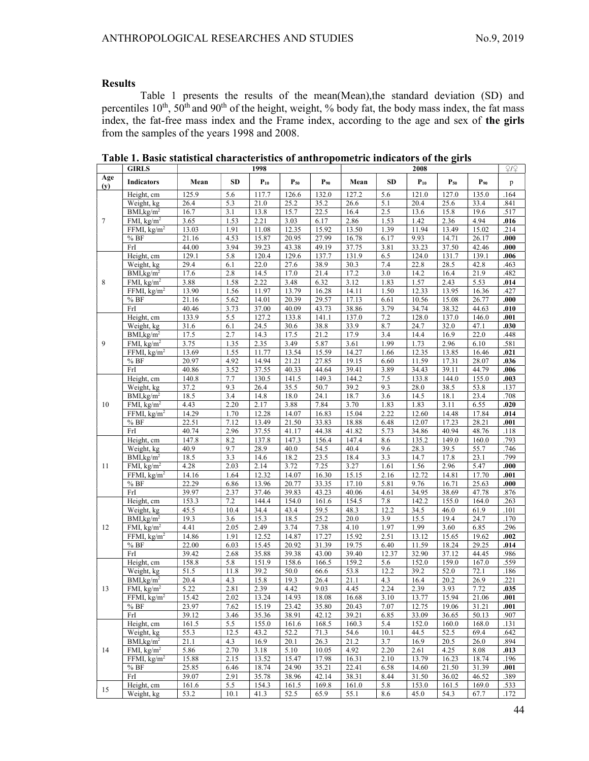÷,

# Results

Table 1 presents the results of the mean(Mean),the standard deviation (SD) and percentiles  $10^{th}$ ,  $50^{th}$  and  $90^{th}$  of the height, weight, % body fat, the body mass index, the fat mass index, the fat-free mass index and the Frame index, according to the age and sex of the girls from the samples of the years 1998 and 2008.

|            | <b>GIRLS</b>                            | 1998         |              |               |              |              | 2008          |              |               |               |               |                   |
|------------|-----------------------------------------|--------------|--------------|---------------|--------------|--------------|---------------|--------------|---------------|---------------|---------------|-------------------|
| Age<br>(y) | <b>Indicators</b>                       | Mean         | <b>SD</b>    | $P_{10}$      | $P_{50}$     | $P_{90}$     | Mean          | <b>SD</b>    | $P_{10}$      | $P_{50}$      | $P_{90}$      | p                 |
|            | Height, cm                              | 125.9        | 5.6          | 117.7         | 126.6        | 132.0        | 127.2         | 5.6          | 121.0         | 127.0         | 135.0         | .164              |
|            | Weight, kg                              | 26.4         | 5.3          | 21.0          | 25.2         | 35.2         | 26.6          | 5.1          | 20.4          | 25.6          | 33.4          | .841              |
|            | BMI, kg/m <sup>2</sup>                  | 16.7         | 3.1          | 13.8          | 15.7         | 22.5         | 16.4          | 2.5          | 13.6          | 15.8          | 19.6          | .517              |
| $\tau$     | FMI, $kg/m2$                            | 3.65         | 1.53         | 2.21          | 3.03         | 6.17         | 2.86          | 1.53         | 1.42          | 2.36          | 4.94          | .016              |
|            | FFMI, $\text{kg/m}^2$                   | 13.03        | 1.91         | 11.08         | 12.35        | 15.92        | 13.50         | 1.39         | 11.94         | 13.49         | 15.02         | .214              |
|            | %BF                                     | 21.16        | 4.53         | 15.87         | 20.95        | 27.99        | 16.78         | 6.17         | 9.93          | 14.71         | 26.17         | .000              |
|            | FrI                                     | 44.00        | 3.94         | 39.23         | 43.38        | 49.19        | 37.75         | 3.81         | 33.23         | 37.50         | 42.46         | .000              |
|            | Height, cm                              | 129.1        | 5.8          | 120.4         | 129.6        | 137.7        | 131.9         | 6.5          | 124.0         | 131.7         | 139.1         | .006              |
|            | Weight, kg                              | 29.4         | 6.1          | 22.0          | 27.6         | 38.9         | 30.3          | 7.4          | 22.8          | 28.5          | 42.8          | .463              |
|            | BMI, kg/m <sup>2</sup>                  | 17.6         | 2.8          | 14.5          | 17.0         | 21.4         | 17.2          | 3.0          | 14.2          | 16.4          | 21.9          | .482              |
| 8          | FMI, $\text{kg/m}^2$                    | 3.88         | 1.58         | 2.22          | 3.48         | 6.32         | 3.12          | 1.83         | 1.57          | 2.43          | 5.53          | .014              |
|            | FFMI, $kg/m2$                           | 13.90        | 1.56         | 11.97         | 13.79        | 16.28        | 14.11         | 1.50         | 12.33         | 13.95         | 16.36         | .427              |
|            | %BF                                     | 21.16        | 5.62         | 14.01         | 20.39        | 29.57        | 17.13         | 6.61         | 10.56         | 15.08         | 26.77         | .000              |
|            | FrI                                     | 40.46        | 3.73         | 37.00         | 40.09        | 43.73        | 38.86         | 3.79         | 34.74         | 38.32         | 44.63         | .010              |
|            | Height, cm                              | 133.9        | 5.5          | 127.2         | 133.8        | 141.1        | 137.0         | 7.2          | 128.0         | 137.0         | 146.0         | .001              |
|            | Weight, kg                              | 31.6         | 6.1          | 24.5          | 30.6         | 38.8         | 33.9          | 8.7          | 24.7          | 32.0          | 47.1          | .030              |
|            | BMI, kg/m <sup>2</sup>                  | 17.5         | 2.7          | 14.3          | 17.5         | 21.2         | 17.9          | 3.4          | 14.4          | 16.9          | 22.0          | .448              |
| 9          | FMI, $\text{kg/m}^2$                    | 3.75         | 1.35         | 2.35          | 3.49         | 5.87         | 3.61          | 1.99         | 1.73          | 2.96          | 6.10          | .581              |
|            | $\overline{\text{FFMI}}, \text{kg/m}^2$ | 13.69        | 1.55         | 11.77         | 13.54        | 15.59        | 14.27         | 1.66         | 12.35         | 13.85         | 16.46         | .021              |
|            | %BF                                     | 20.97        | 4.92         | 14.94         | 21.21        | 27.85        | 19.15         | 6.60         | 11.59         | 17.31         | 28.07         | .036              |
|            | FrI                                     | 40.86        | 3.52         | 37.55         | 40.33        | 44.64        | 39.41         | 3.89         | 34.43         | 39.11         | 44.79         | .006              |
|            | Height, cm                              | 140.8        | 7.7          | 130.5         | 141.5        | 149.3        | 144.2         | 7.5          | 133.8         | 144.0         | 155.0         | .003              |
| 10         | Weight, kg                              | 37.2         | 9.3          | 26.4          | 35.5         | 50.7         | 39.2          | 9.3          | 28.0          | 38.5          | 53.8          | .137              |
|            | BMI, kg/m <sup>2</sup>                  | 18.5         | 3.4          | 14.8          | 18.0         | 24.1         | 18.7          | 3.6          | 14.5          | 18.1          | 23.4          | .708              |
|            | FMI, $\text{kg/m}^2$                    | 4.43         | 2.20         | 2.17          | 3.88         | 7.84         | 3.70          | 1.83         | 1.83          | 3.11          | 6.55          | $\overline{.}020$ |
|            | $\overline{\text{FFMI}}, \text{kg/m}^2$ | 14.29        | 1.70         | 12.28         | 14.07        | 16.83        | 15.04         | 2.22         | 12.60         | 14.48         | 17.84         | .014              |
|            | $\%$ BF                                 | 22.51        | 7.12         | 13.49         | 21.50        | 33.83        | 18.88         | 6.48         | 12.07         | 17.23         | 28.21         | .001              |
|            | FrI                                     | 40.74        | 2.96         | 37.55         | 41.17        | 44.38        | 41.82         | 5.73         | 34.86         | 40.94         | 48.76         | .118              |
|            | Height, cm                              | 147.8        | 8.2          | 137.8         | 147.3        | 156.4        | 147.4         | 8.6          | 135.2         | 149.0         | 160.0         | .793              |
|            | Weight, kg                              | 40.9         | 9.7          | 28.9          | 40.0         | 54.5<br>23.5 | 40.4          | 9.6          | 28.3          | 39.5<br>17.8  | 55.7          | .746<br>.799      |
|            | BMI, kg/m <sup>2</sup>                  | 18.5<br>4.28 | 3.3          | 14.6          | 18.2<br>3.72 | 7.25         | 18.4          | 3.3          | 14.7          |               | 23.1          |                   |
| 11         | FMI, $kg/m2$<br>FFMI, $kg/m2$           | 14.16        | 2.03<br>1.64 | 2.14<br>12.32 | 14.07        | 16.30        | 3.27<br>15.15 | 1.61<br>2.16 | 1.56<br>12.72 | 2.96<br>14.81 | 5.47<br>17.70 | .000<br>.001      |
|            | % BF                                    | 22.29        | 6.86         | 13.96         | 20.77        | 33.35        | 17.10         | 5.81         | 9.76          | 16.71         | 25.63         | .000              |
|            | FrI                                     | 39.97        | 2.37         | 37.46         | 39.83        | 43.23        | 40.06         | 4.61         | 34.95         | 38.69         | 47.78         | .876              |
|            | Height, cm                              | 153.3        | 7.2          | 144.4         | 154.0        | 161.6        | 154.5         | 7.8          | 142.2         | 155.0         | 164.0         | .263              |
|            | Weight, kg                              | 45.5         | 10.4         | 34.4          | 43.4         | 59.5         | 48.3          | 12.2         | 34.5          | 46.0          | 61.9          | .101              |
|            | BMI, kg/m <sup>2</sup>                  | 19.3         | 3.6          | 15.3          | 18.5         | 25.2         | 20.0          | 3.9          | 15.5          | 19.4          | 24.7          | .170              |
| 12         | FMI, $kg/m2$                            | 4.41         | 2.05         | 2.49          | 3.74         | 7.38         | 4.10          | 1.97         | 1.99          | 3.60          | 6.85          | .296              |
|            | FFMI, $\text{kg/m}^2$                   | 14.86        | 1.91         | 12.52         | 14.87        | 17.27        | 15.92         | 2.51         | 13.12         | 15.65         | 19.62         | .002              |
|            | %BF                                     | 22.00        | 6.03         | 15.45         | 20.92        | 31.39        | 19.75         | 6.40         | 11.59         | 18.24         | 29.25         | .014              |
|            | FrI                                     | 39.42        | 2.68         | 35.88         | 39.38        | 43.00        | 39.40         | 12.37        | 32.90         | 37.12         | 44.45         | .986              |
|            | Height, cm                              | 158.8        | 5.8          | 151.9         | 158.6        | 166.5        | 159.2         | 5.6          | 152.0         | 159.0         | 167.0         | .559              |
|            | Weight, kg                              | 51.5         | 11.8         | 39.2          | 50.0         | 66.6         | 53.8          | 12.2         | 39.2          | 52.0          | 72.1          | .186              |
|            | BMI, kg/m <sup>2</sup>                  | 20.4         | 4.3          | 15.8          | 19.3         | 26.4         | 21.1          | 4.3          | 16.4          | 20.2          | 26.9          | .221              |
| 13         | FMI, $kg/m2$                            | 5.22         | 2.81         | 2.39          | 4.42         | 9.03         | 4.45          | 2.24         | 2.39          | 3.93          | 7.72          | .035              |
|            | FFMI, $\text{kg/m}^2$                   | 15.42        | 2.02         | 13.24         | 14.93        | 18.08        | 16.68         | 3.10         | 13.77         | 15.94         | 21.06         | .001              |
|            | %BF                                     | 23.97        | 7.62         | 15.19         | 23.42        | 35.80        | 20.43         | 7.07         | 12.75         | 19.06         | 31.21         | .001              |
|            | FrI                                     | 39.12        | 3.46         | 35.36         | 38.91        | 42.12        | 39.21         | 6.85         | 33.09         | 36.65         | 50.13         | .907              |
|            | Height, cm                              | 161.5        | 5.5          | 155.0         | 161.6        | 168.5        | 160.3         | 5.4          | 152.0         | 160.0         | 168.0         | .131              |
|            | Weight, kg                              | 55.3         | 12.5         | 43.2          | 52.2         | 71.3         | 54.6          | 10.1         | 44.5          | 52.5          | 69.4          | .642              |
|            | BMI, kg/m <sup>2</sup>                  | 21.1         | 4.3          | 16.9          | 20.1         | 26.3         | 21.2          | 3.7          | 16.9          | 20.5          | 26.0          | .894              |
| 14         | FMI, $\frac{kg}{m^2}$                   | 5.86         | 2.70         | 3.18          | 5.10         | 10.05        | 4.92          | 2.20         | 2.61          | 4.25          | 8.08          | .013              |
|            | FFMI, $kg/m2$                           | 15.88        | 2.15         | 13.52         | 15.47        | 17.98        | 16.31         | 2.10         | 13.79         | 16.23         | 18.74         | .196              |
|            | %BF                                     | 25.85        | 6.46         | 18.74         | 24.90        | 35.21        | 22.41         | 6.58         | 14.60         | 21.50         | 31.39         | .001              |
|            | FrI                                     | 39.07        | 2.91         | 35.78         | 38.96        | 42.14        | 38.31         | 8.44         | 31.50         | 36.02         | 46.52         | .389              |
| 15         | Height, cm                              | 161.6        | 5.5          | 154.3         | 161.5        | 169.8        | 161.0         | 5.8          | 153.0         | 161.5         | 169.0         | .533              |
|            | Weight, kg                              | 53.2         | 10.1         | 41.3          | 52.5         | 65.9         | 55.1          | 8.6          | 45.0          | 54.3          | 67.7          | .172              |

Table 1. Basic statistical characteristics of anthropometric indicators of the girls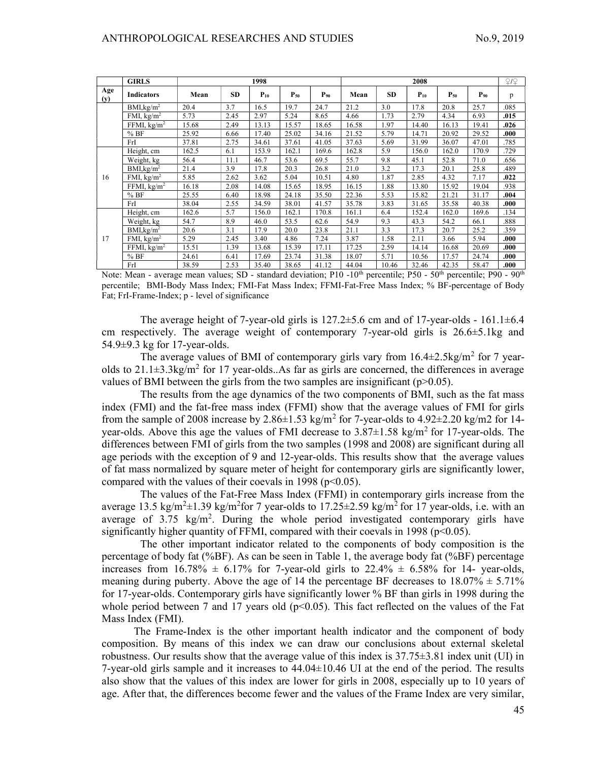|            | <b>GIRLS</b>           | 1998  |      |          |          |          | 2008  |       |          |          |          |      |
|------------|------------------------|-------|------|----------|----------|----------|-------|-------|----------|----------|----------|------|
| Age<br>(y) | Indicators             | Mean  | SD   | $P_{10}$ | $P_{50}$ | $P_{90}$ | Mean  | SD    | $P_{10}$ | $P_{50}$ | $P_{90}$ | p    |
|            | BMI, kg/m <sup>2</sup> | 20.4  | 3.7  | 16.5     | 19.7     | 24.7     | 21.2  | 3.0   | 17.8     | 20.8     | 25.7     | .085 |
|            | FMI, $kg/m2$           | 5.73  | 2.45 | 2.97     | 5.24     | 8.65     | 4.66  | 1.73  | 2.79     | 4.34     | 6.93     | .015 |
|            | FFMI, $\text{kg/m}^2$  | 15.68 | 2.49 | 13.13    | 15.57    | 18.65    | 16.58 | 1.97  | 14.40    | 16.13    | 19.41    | .026 |
|            | %BF                    | 25.92 | 6.66 | 17.40    | 25.02    | 34.16    | 21.52 | 5.79  | 14.71    | 20.92    | 29.52    | .000 |
|            | FrI                    | 37.81 | 2.75 | 34.61    | 37.61    | 41.05    | 37.63 | 5.69  | 31.99    | 36.07    | 47.01    | .785 |
|            | Height, cm             | 162.5 | 6.1  | 153.9    | 162.1    | 169.6    | 162.8 | 5.9   | 156.0    | 162.0    | 170.9    | .729 |
|            | Weight, kg             | 56.4  | 11.1 | 46.7     | 53.6     | 69.5     | 55.7  | 9.8   | 45.1     | 52.8     | 71.0     | .656 |
|            | BMI, kg/m <sup>2</sup> | 21.4  | 3.9  | 17.8     | 20.3     | 26.8     | 21.0  | 3.2   | 17.3     | 20.1     | 25.8     | .489 |
| 16         | FMI, $\text{kg/m}^2$   | 5.85  | 2.62 | 3.62     | 5.04     | 10.51    | 4.80  | 1.87  | 2.85     | 4.32     | 7.17     | .022 |
|            | FFMI, $\text{kg/m}^2$  | 16.18 | 2.08 | 14.08    | 15.65    | 18.95    | 16.15 | 1.88  | 13.80    | 15.92    | 19.04    | .938 |
|            | %BF                    | 25.55 | 6.40 | 18.98    | 24.18    | 35.50    | 22.36 | 5.53  | 15.82    | 21.21    | 31.17    | .004 |
|            | FrI                    | 38.04 | 2.55 | 34.59    | 38.01    | 41.57    | 35.78 | 3.83  | 31.65    | 35.58    | 40.38    | .000 |
|            | Height, cm             | 162.6 | 5.7  | 156.0    | 162.1    | 170.8    | 161.1 | 6.4   | 152.4    | 162.0    | 169.6    | .134 |
|            | Weight, kg             | 54.7  | 8.9  | 46.0     | 53.5     | 62.6     | 54.9  | 9.3   | 43.3     | 54.2     | 66.1     | .888 |
|            | BMI, kg/m <sup>2</sup> | 20.6  | 3.1  | 17.9     | 20.0     | 23.8     | 21.1  | 3.3   | 17.3     | 20.7     | 25.2     | .359 |
| 17         | FMI, $\text{kg/m}^2$   | 5.29  | 2.45 | 3.40     | 4.86     | 7.24     | 3.87  | 1.58  | 2.11     | 3.66     | 5.94     | .000 |
|            | FFMI, $\text{kg/m}^2$  | 15.51 | 1.39 | 13.68    | 15.39    | 17.11    | 17.25 | 2.59  | 14.14    | 16.68    | 20.69    | .000 |
|            | %BF                    | 24.61 | 6.41 | 17.69    | 23.74    | 31.38    | 18.07 | 5.71  | 10.56    | 17.57    | 24.74    | .000 |
|            | FrI                    | 38.59 | 2.53 | 35.40    | 38.65    | 41.12    | 44.04 | 10.46 | 32.46    | 42.35    | 58.47    | .000 |

Note: Mean - average mean values; SD - standard deviation; P10 -10<sup>th</sup> percentile; P50 - 50<sup>th</sup> percentile; P90 - 90<sup>th</sup> percentile; BMI-Body Mass Index; FMI-Fat Mass Index; FFMI-Fat-Free Mass Index; % BF-percentage of Body Fat; FrI-Frame-Index; p - level of significance

The average height of 7-year-old girls is  $127.2 \pm 5.6$  cm and of 17-year-olds - 161.1 $\pm 6.4$ cm respectively. The average weight of contemporary 7-year-old girls is 26.6±5.1kg and 54.9±9.3 kg for 17-year-olds.

The average values of BMI of contemporary girls vary from  $16.4 \pm 2.5 \text{kg/m}^2$  for 7 yearolds to  $21.1\pm3.3\text{kg/m}^2$  for 17 year-olds. As far as girls are concerned, the differences in average values of BMI between the girls from the two samples are insignificant ( $p>0.05$ ).

The results from the age dynamics of the two components of BMI, such as the fat mass index (FMI) and the fat-free mass index (FFMI) show that the average values of FMI for girls from the sample of 2008 increase by  $2.86 \pm 1.53$  kg/m<sup>2</sup> for 7-year-olds to  $4.92 \pm 2.20$  kg/m2 for 14year-olds. Above this age the values of FMI decrease to  $3.87\pm1.58$  kg/m<sup>2</sup> for 17-year-olds. The differences between FMI of girls from the two samples (1998 and 2008) are significant during all age periods with the exception of 9 and 12-year-olds. This results show that the average values of fat mass normalized by square meter of height for contemporary girls are significantly lower, compared with the values of their coevals in 1998 ( $p<0.05$ ).

The values of the Fat-Free Mass Index (FFMI) in contemporary girls increase from the average 13.5 kg/m<sup>2</sup> $\pm$ 1.39 kg/m<sup>2</sup>for 7 year-olds to 17.25 $\pm$ 2.59 kg/m<sup>2</sup> for 17 year-olds, i.e. with an average of  $3.75 \text{ kg/m}^2$ . During the whole period investigated contemporary girls have significantly higher quantity of FFMI, compared with their coevals in 1998 ( $p<0.05$ ).

The other important indicator related to the components of body composition is the percentage of body fat (%BF). As can be seen in Table 1, the average body fat (%BF) percentage increases from  $16.78\% \pm 6.17\%$  for 7-year-old girls to  $22.4\% \pm 6.58\%$  for 14- year-olds, meaning during puberty. Above the age of 14 the percentage BF decreases to  $18.07\% \pm 5.71\%$ for 17-year-olds. Contemporary girls have significantly lower % BF than girls in 1998 during the whole period between 7 and 17 years old  $(p<0.05)$ . This fact reflected on the values of the Fat Mass Index (FMI).

The Frame-Index is the other important health indicator and the component of body composition. By means of this index we can draw our conclusions about external skeletal robustness. Our results show that the average value of this index is 37.75±3.81 index unit (UI) in 7-year-old girls sample and it increases to 44.04±10.46 UI at the end of the period. The results also show that the values of this index are lower for girls in 2008, especially up to 10 years of age. After that, the differences become fewer and the values of the Frame Index are very similar,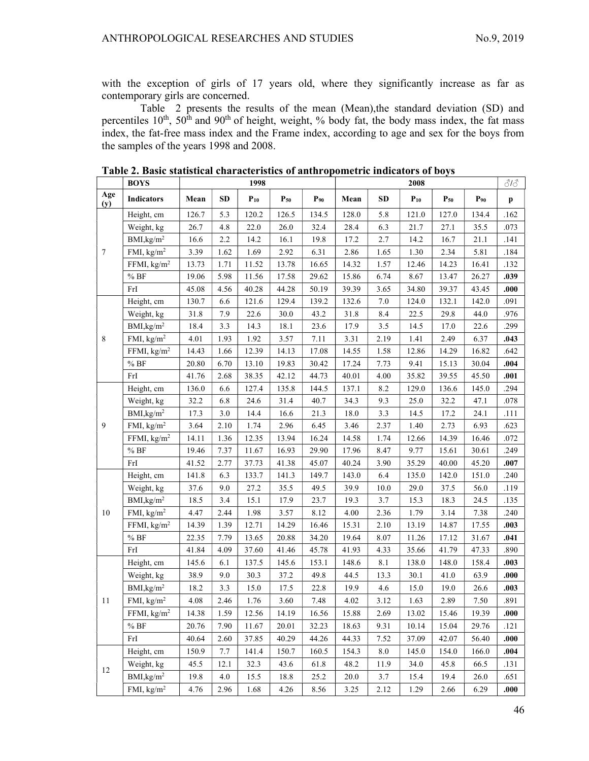with the exception of girls of 17 years old, where they significantly increase as far as contemporary girls are concerned.

Table 2 presents the results of the mean (Mean),the standard deviation (SD) and percentiles  $10^{th}$ ,  $50^{th}$  and  $90^{th}$  of height, weight, % body fat, the body mass index, the fat mass index, the fat-free mass index and the Frame index, according to age and sex for the boys from the samples of the years 1998 and 2008.

|                  | <b>BOYS</b>             | 1998  |      |          |          |          | 2008  |           |          |          |          | 313      |
|------------------|-------------------------|-------|------|----------|----------|----------|-------|-----------|----------|----------|----------|----------|
| Age<br>(y)       | <b>Indicators</b>       | Mean  | SD   | $P_{10}$ | $P_{50}$ | $P_{90}$ | Mean  | <b>SD</b> | $P_{10}$ | $P_{50}$ | $P_{90}$ | p        |
|                  | Height, cm              | 126.7 | 5.3  | 120.2    | 126.5    | 134.5    | 128.0 | 5.8       | 121.0    | 127.0    | 134.4    | .162     |
|                  | Weight, kg              | 26.7  | 4.8  | 22.0     | 26.0     | 32.4     | 28.4  | 6.3       | 21.7     | 27.1     | 35.5     | .073     |
|                  | BMI, kg/m <sup>2</sup>  | 16.6  | 2.2  | 14.2     | 16.1     | 19.8     | 17.2  | 2.7       | 14.2     | 16.7     | 21.1     | .141     |
| $\boldsymbol{7}$ | FMI, $\text{kg/m}^2$    | 3.39  | 1.62 | 1.69     | 2.92     | 6.31     | 2.86  | 1.65      | 1.30     | 2.34     | 5.81     | .184     |
|                  | FFMI, kg/m <sup>2</sup> | 13.73 | 1.71 | 11.52    | 13.78    | 16.65    | 14.32 | 1.57      | 12.46    | 14.23    | 16.41    | .132     |
|                  | $\%$ BF                 | 19.06 | 5.98 | 11.56    | 17.58    | 29.62    | 15.86 | 6.74      | 8.67     | 13.47    | 26.27    | .039     |
|                  | FrI                     | 45.08 | 4.56 | 40.28    | 44.28    | 50.19    | 39.39 | 3.65      | 34.80    | 39.37    | 43.45    | .000     |
|                  | Height, cm              | 130.7 | 6.6  | 121.6    | 129.4    | 139.2    | 132.6 | 7.0       | 124.0    | 132.1    | 142.0    | .091     |
|                  | Weight, kg              | 31.8  | 7.9  | 22.6     | 30.0     | 43.2     | 31.8  | 8.4       | 22.5     | 29.8     | 44.0     | .976     |
|                  | BMI, kg/m <sup>2</sup>  | 18.4  | 3.3  | 14.3     | 18.1     | 23.6     | 17.9  | 3.5       | 14.5     | 17.0     | 22.6     | .299     |
| $\,8\,$          | FMI, $\text{kg/m}^2$    | 4.01  | 1.93 | 1.92     | 3.57     | 7.11     | 3.31  | 2.19      | 1.41     | 2.49     | 6.37     | .043     |
|                  | FFMI, kg/m <sup>2</sup> | 14.43 | 1.66 | 12.39    | 14.13    | 17.08    | 14.55 | 1.58      | 12.86    | 14.29    | 16.82    | .642     |
|                  | $\%$ BF                 | 20.80 | 6.70 | 13.10    | 19.83    | 30.42    | 17.24 | 7.73      | 9.41     | 15.13    | 30.04    | .004     |
|                  | FrI                     | 41.76 | 2.68 | 38.35    | 42.12    | 44.73    | 40.01 | 4.00      | 35.82    | 39.55    | 45.50    | .001     |
| 9                | Height, cm              | 136.0 | 6.6  | 127.4    | 135.8    | 144.5    | 137.1 | 8.2       | 129.0    | 136.6    | 145.0    | .294     |
|                  | Weight, kg              | 32.2  | 6.8  | 24.6     | 31.4     | 40.7     | 34.3  | 9.3       | 25.0     | 32.2     | 47.1     | $.078\,$ |
|                  | BMI, kg/m <sup>2</sup>  | 17.3  | 3.0  | 14.4     | 16.6     | 21.3     | 18.0  | 3.3       | 14.5     | 17.2     | 24.1     | .111     |
|                  | FMI, kg/m <sup>2</sup>  | 3.64  | 2.10 | 1.74     | 2.96     | 6.45     | 3.46  | 2.37      | 1.40     | 2.73     | 6.93     | .623     |
|                  | FFMI, $kg/m2$           | 14.11 | 1.36 | 12.35    | 13.94    | 16.24    | 14.58 | 1.74      | 12.66    | 14.39    | 16.46    | .072     |
|                  | $\%$ BF                 | 19.46 | 7.37 | 11.67    | 16.93    | 29.90    | 17.96 | 8.47      | 9.77     | 15.61    | 30.61    | .249     |
|                  | FrI                     | 41.52 | 2.77 | 37.73    | 41.38    | 45.07    | 40.24 | 3.90      | 35.29    | 40.00    | 45.20    | .007     |
|                  | Height, cm              | 141.8 | 6.3  | 133.7    | 141.3    | 149.7    | 143.0 | 6.4       | 135.0    | 142.0    | 151.0    | .240     |
|                  | Weight, kg              | 37.6  | 9.0  | 27.2     | 35.5     | 49.5     | 39.9  | 10.0      | 29.0     | 37.5     | 56.0     | .119     |
|                  | BMI, kg/m <sup>2</sup>  | 18.5  | 3.4  | 15.1     | 17.9     | 23.7     | 19.3  | 3.7       | 15.3     | 18.3     | 24.5     | .135     |
| 10               | FMI, $kg/m2$            | 4.47  | 2.44 | 1.98     | 3.57     | 8.12     | 4.00  | 2.36      | 1.79     | 3.14     | 7.38     | .240     |
|                  | FFMI, kg/m <sup>2</sup> | 14.39 | 1.39 | 12.71    | 14.29    | 16.46    | 15.31 | 2.10      | 13.19    | 14.87    | 17.55    | .003     |
|                  | %BF                     | 22.35 | 7.79 | 13.65    | 20.88    | 34.20    | 19.64 | 8.07      | 11.26    | 17.12    | 31.67    | .041     |
|                  | FrI                     | 41.84 | 4.09 | 37.60    | 41.46    | 45.78    | 41.93 | 4.33      | 35.66    | 41.79    | 47.33    | .890     |
|                  | Height, cm              | 145.6 | 6.1  | 137.5    | 145.6    | 153.1    | 148.6 | $8.1\,$   | 138.0    | 148.0    | 158.4    | .003     |
|                  | Weight, kg              | 38.9  | 9.0  | 30.3     | 37.2     | 49.8     | 44.5  | 13.3      | 30.1     | 41.0     | 63.9     | .000     |
|                  | BMI, kg/m <sup>2</sup>  | 18.2  | 3.3  | 15.0     | 17.5     | 22.8     | 19.9  | 4.6       | 15.0     | 19.0     | 26.6     | .003     |
| 11               | FMI, $\text{kg/m}^2$    | 4.08  | 2.46 | 1.76     | 3.60     | 7.48     | 4.02  | 3.12      | 1.63     | 2.89     | 7.50     | .891     |
|                  | FFMI, $\text{kg/m}^2$   | 14.38 | 1.59 | 12.56    | 14.19    | 16.56    | 15.88 | 2.69      | 13.02    | 15.46    | 19.39    | .000     |
|                  | %BF                     | 20.76 | 7.90 | 11.67    | 20.01    | 32.23    | 18.63 | 9.31      | 10.14    | 15.04    | 29.76    | .121     |
|                  | FrI                     | 40.64 | 2.60 | 37.85    | 40.29    | 44.26    | 44.33 | 7.52      | 37.09    | 42.07    | 56.40    | .000     |
|                  | Height, cm              | 150.9 | 7.7  | 141.4    | 150.7    | 160.5    | 154.3 | 8.0       | 145.0    | 154.0    | 166.0    | .004     |
|                  | Weight, kg              | 45.5  | 12.1 | 32.3     | 43.6     | 61.8     | 48.2  | 11.9      | 34.0     | 45.8     | 66.5     | .131     |
| 12               | BMI, kg/m <sup>2</sup>  | 19.8  | 4.0  | 15.5     | 18.8     | 25.2     | 20.0  | 3.7       | 15.4     | 19.4     | 26.0     | .651     |
|                  | FMI, $\text{kg/m}^2$    | 4.76  | 2.96 | 1.68     | 4.26     | 8.56     | 3.25  | 2.12      | 1.29     | 2.66     | 6.29     | .000     |

Table 2. Basic statistical characteristics of anthropometric indicators of boys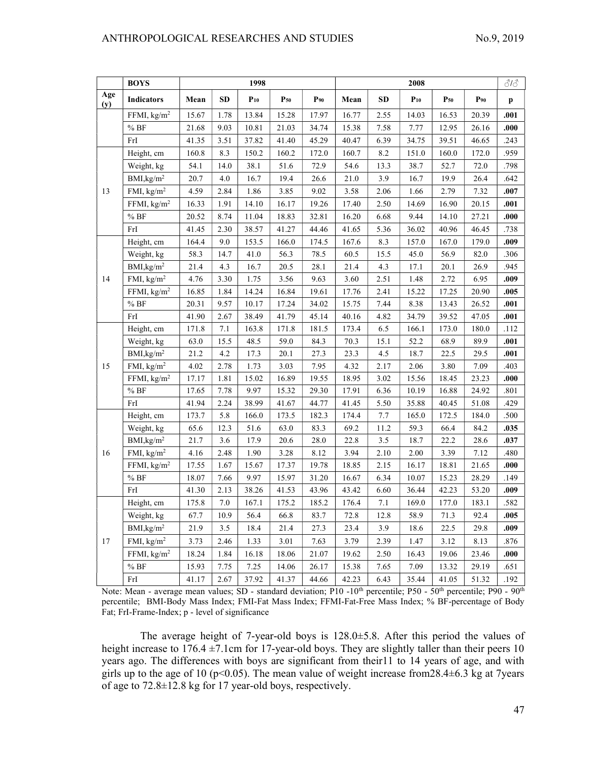# ANTHROPOLOGICAL RESEARCHES AND STUDIES No.9, 2019

|            | <b>BOYS</b>             | 1998  |            |          |          |          | 2008  |      |          |          |          |              |
|------------|-------------------------|-------|------------|----------|----------|----------|-------|------|----------|----------|----------|--------------|
| Age<br>(y) | <b>Indicators</b>       | Mean  | ${\bf SD}$ | $P_{10}$ | $P_{50}$ | $P_{90}$ | Mean  | SD   | $P_{10}$ | $P_{50}$ | $P_{90}$ | $\mathbf{p}$ |
|            | FFMI, kg/m <sup>2</sup> | 15.67 | 1.78       | 13.84    | 15.28    | 17.97    | 16.77 | 2.55 | 14.03    | 16.53    | 20.39    | .001         |
|            | $\%$ BF                 | 21.68 | 9.03       | 10.81    | 21.03    | 34.74    | 15.38 | 7.58 | 7.77     | 12.95    | 26.16    | .000         |
|            | FrI                     | 41.35 | 3.51       | 37.82    | 41.40    | 45.29    | 40.47 | 6.39 | 34.75    | 39.51    | 46.65    | .243         |
|            | Height, cm              | 160.8 | 8.3        | 150.2    | 160.2    | 172.0    | 160.7 | 8.2  | 151.0    | 160.0    | 172.0    | .959         |
|            | Weight, kg              | 54.1  | 14.0       | 38.1     | 51.6     | 72.9     | 54.6  | 13.3 | 38.7     | 52.7     | 72.0     | .798         |
|            | BMI, kg/m <sup>2</sup>  | 20.7  | 4.0        | 16.7     | 19.4     | 26.6     | 21.0  | 3.9  | 16.7     | 19.9     | 26.4     | .642         |
| 13         | FMI, $\text{kg/m}^2$    | 4.59  | 2.84       | 1.86     | 3.85     | 9.02     | 3.58  | 2.06 | 1.66     | 2.79     | 7.32     | .007         |
|            | FFMI, $kg/m2$           | 16.33 | 1.91       | 14.10    | 16.17    | 19.26    | 17.40 | 2.50 | 14.69    | 16.90    | 20.15    | .001         |
|            | $\%$ BF                 | 20.52 | 8.74       | 11.04    | 18.83    | 32.81    | 16.20 | 6.68 | 9.44     | 14.10    | 27.21    | .000         |
|            | FrI                     | 41.45 | 2.30       | 38.57    | 41.27    | 44.46    | 41.65 | 5.36 | 36.02    | 40.96    | 46.45    | .738         |
|            | Height, cm              | 164.4 | 9.0        | 153.5    | 166.0    | 174.5    | 167.6 | 8.3  | 157.0    | 167.0    | 179.0    | .009         |
|            | Weight, kg              | 58.3  | 14.7       | 41.0     | 56.3     | 78.5     | 60.5  | 15.5 | 45.0     | 56.9     | 82.0     | .306         |
|            | BMI, kg/m <sup>2</sup>  | 21.4  | 4.3        | 16.7     | 20.5     | 28.1     | 21.4  | 4.3  | 17.1     | 20.1     | 26.9     | .945         |
| 14         | FMI, $\text{kg/m}^2$    | 4.76  | 3.30       | 1.75     | 3.56     | 9.63     | 3.60  | 2.51 | 1.48     | 2.72     | 6.95     | .009         |
|            | FFMI, kg/m <sup>2</sup> | 16.85 | 1.84       | 14.24    | 16.84    | 19.61    | 17.76 | 2.41 | 15.22    | 17.25    | 20.90    | .005         |
|            | %BF                     | 20.31 | 9.57       | 10.17    | 17.24    | 34.02    | 15.75 | 7.44 | 8.38     | 13.43    | 26.52    | .001         |
|            | FrI                     | 41.90 | 2.67       | 38.49    | 41.79    | 45.14    | 40.16 | 4.82 | 34.79    | 39.52    | 47.05    | .001         |
|            | Height, cm              | 171.8 | 7.1        | 163.8    | 171.8    | 181.5    | 173.4 | 6.5  | 166.1    | 173.0    | 180.0    | .112         |
|            | Weight, kg              | 63.0  | 15.5       | 48.5     | 59.0     | 84.3     | 70.3  | 15.1 | 52.2     | 68.9     | 89.9     | .001         |
|            | BMI, kg/m <sup>2</sup>  | 21.2  | 4.2        | 17.3     | 20.1     | 27.3     | 23.3  | 4.5  | 18.7     | 22.5     | 29.5     | .001         |
| 15         | FMI, $\text{kg/m}^2$    | 4.02  | 2.78       | 1.73     | 3.03     | 7.95     | 4.32  | 2.17 | 2.06     | 3.80     | 7.09     | .403         |
|            | FFMI, kg/m <sup>2</sup> | 17.17 | 1.81       | 15.02    | 16.89    | 19.55    | 18.95 | 3.02 | 15.56    | 18.45    | 23.23    | .000         |
|            | $\%$ BF                 | 17.65 | 7.78       | 9.97     | 15.32    | 29.30    | 17.91 | 6.36 | 10.19    | 16.88    | 24.92    | .801         |
|            | FrI                     | 41.94 | 2.24       | 38.99    | 41.67    | 44.77    | 41.45 | 5.50 | 35.88    | 40.45    | 51.08    | .429         |
|            | Height, cm              | 173.7 | 5.8        | 166.0    | 173.5    | 182.3    | 174.4 | 7.7  | 165.0    | 172.5    | 184.0    | .500         |
|            | Weight, kg              | 65.6  | 12.3       | 51.6     | 63.0     | 83.3     | 69.2  | 11.2 | 59.3     | 66.4     | 84.2     | .035         |
|            | BMI, kg/m <sup>2</sup>  | 21.7  | 3.6        | 17.9     | 20.6     | 28.0     | 22.8  | 3.5  | 18.7     | 22.2     | 28.6     | .037         |
| 16         | FMI, $kg/m2$            | 4.16  | 2.48       | 1.90     | 3.28     | 8.12     | 3.94  | 2.10 | 2.00     | 3.39     | 7.12     | .480         |
|            | FFMI, kg/m <sup>2</sup> | 17.55 | 1.67       | 15.67    | 17.37    | 19.78    | 18.85 | 2.15 | 16.17    | 18.81    | 21.65    | .000         |
|            | $\%$ BF                 | 18.07 | 7.66       | 9.97     | 15.97    | 31.20    | 16.67 | 6.34 | 10.07    | 15.23    | 28.29    | .149         |
|            | FrI                     | 41.30 | 2.13       | 38.26    | 41.53    | 43.96    | 43.42 | 6.60 | 36.44    | 42.23    | 53.20    | .009         |
|            | Height, cm              | 175.8 | 7.0        | 167.1    | 175.2    | 185.2    | 176.4 | 7.1  | 169.0    | 177.0    | 183.1    | .582         |
|            | Weight, kg              | 67.7  | 10.9       | 56.4     | 66.8     | 83.7     | 72.8  | 12.8 | 58.9     | 71.3     | 92.4     | .005         |
|            | BMI, kg/m <sup>2</sup>  | 21.9  | 3.5        | 18.4     | 21.4     | 27.3     | 23.4  | 3.9  | 18.6     | 22.5     | 29.8     | .009         |
| 17         | FMI, $kg/m2$            | 3.73  | 2.46       | 1.33     | 3.01     | 7.63     | 3.79  | 2.39 | 1.47     | 3.12     | 8.13     | .876         |
|            | FFMI, $\text{kg/m}^2$   | 18.24 | 1.84       | 16.18    | 18.06    | 21.07    | 19.62 | 2.50 | 16.43    | 19.06    | 23.46    | .000         |
|            | $\%$ BF                 | 15.93 | 7.75       | 7.25     | 14.06    | 26.17    | 15.38 | 7.65 | 7.09     | 13.32    | 29.19    | .651         |
|            | FrI                     | 41.17 | 2.67       | 37.92    | 41.37    | 44.66    | 42.23 | 6.43 | 35.44    | 41.05    | 51.32    | .192         |

Note: Mean - average mean values; SD - standard deviation; P10 -10<sup>th</sup> percentile; P50 - 50<sup>th</sup> percentile; P90 - 90<sup>th</sup> percentile; BMI-Body Mass Index; FMI-Fat Mass Index; FFMI-Fat-Free Mass Index; % BF-percentage of Body Fat; FrI-Frame-Index; p - level of significance

The average height of 7-year-old boys is 128.0±5.8. After this period the values of height increase to  $176.4 \pm 7.1$ cm for 17-year-old boys. They are slightly taller than their peers 10 years ago. The differences with boys are significant from their11 to 14 years of age, and with girls up to the age of 10 ( $p<0.05$ ). The mean value of weight increase from 28.4 $\pm$ 6.3 kg at 7 years of age to 72.8±12.8 kg for 17 year-old boys, respectively.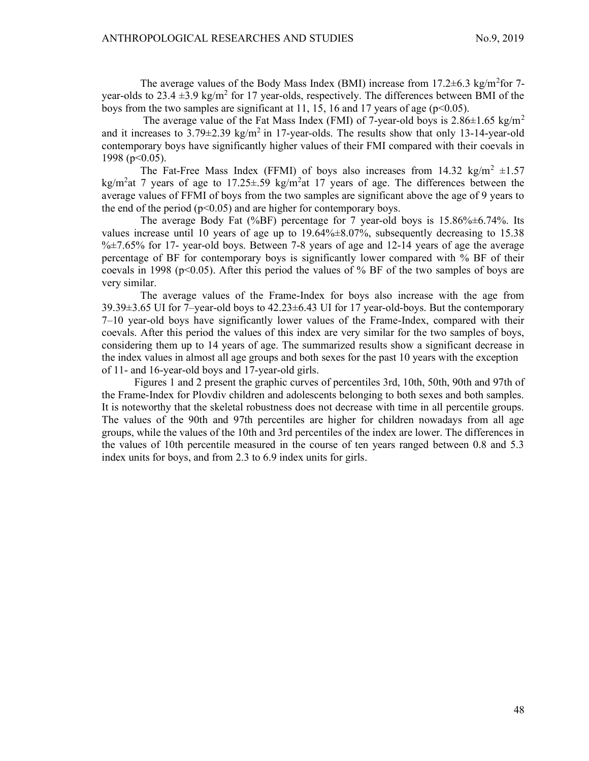The average values of the Body Mass Index (BMI) increase from  $17.2 \pm 6.3$  kg/m<sup>2</sup>for 7year-olds to 23.4  $\pm$ 3.9 kg/m<sup>2</sup> for 17 year-olds, respectively. The differences between BMI of the boys from the two samples are significant at 11, 15, 16 and 17 years of age ( $p<0.05$ ).

The average value of the Fat Mass Index (FMI) of 7-year-old boys is  $2.86 \pm 1.65$  kg/m<sup>2</sup> and it increases to  $3.79\pm2.39$  kg/m<sup>2</sup> in 17-year-olds. The results show that only 13-14-year-old contemporary boys have significantly higher values of their FMI compared with their coevals in 1998 (p<0.05).

The Fat-Free Mass Index (FFMI) of boys also increases from 14.32 kg/m<sup>2</sup>  $\pm$ 1.57 kg/m<sup>2</sup>at 7 years of age to 17.25 $\pm$ .59 kg/m<sup>2</sup>at 17 years of age. The differences between the average values of FFMI of boys from the two samples are significant above the age of 9 years to the end of the period ( $p<0.05$ ) and are higher for contemporary boys.

The average Body Fat (%BF) percentage for 7 year-old boys is 15.86%±6.74%. Its values increase until 10 years of age up to 19.64%±8.07%, subsequently decreasing to 15.38  $\frac{6}{2}$  +7.65% for 17- year-old boys. Between 7-8 years of age and 12-14 years of age the average percentage of BF for contemporary boys is significantly lower compared with % BF of their coevals in 1998 ( $p<0.05$ ). After this period the values of % BF of the two samples of boys are very similar.

The average values of the Frame-Index for boys also increase with the age from  $39.39\pm3.65$  UI for 7-year-old boys to  $42.23\pm6.43$  UI for 17 year-old-boys. But the contemporary 7–10 year-old boys have significantly lower values of the Frame-Index, compared with their coevals. After this period the values of this index are very similar for the two samples of boys, considering them up to 14 years of age. The summarized results show a significant decrease in the index values in almost all age groups and both sexes for the past 10 years with the exception of 11- and 16-year-old boys and 17-year-old girls.

Figures 1 and 2 present the graphic curves of percentiles 3rd, 10th, 50th, 90th and 97th of the Frame-Index for Plovdiv children and adolescents belonging to both sexes and both samples. It is noteworthy that the skeletal robustness does not decrease with time in all percentile groups. The values of the 90th and 97th percentiles are higher for children nowadays from all age groups, while the values of the 10th and 3rd percentiles of the index are lower. The differences in the values of 10th percentile measured in the course of ten years ranged between 0.8 and 5.3 index units for boys, and from 2.3 to 6.9 index units for girls.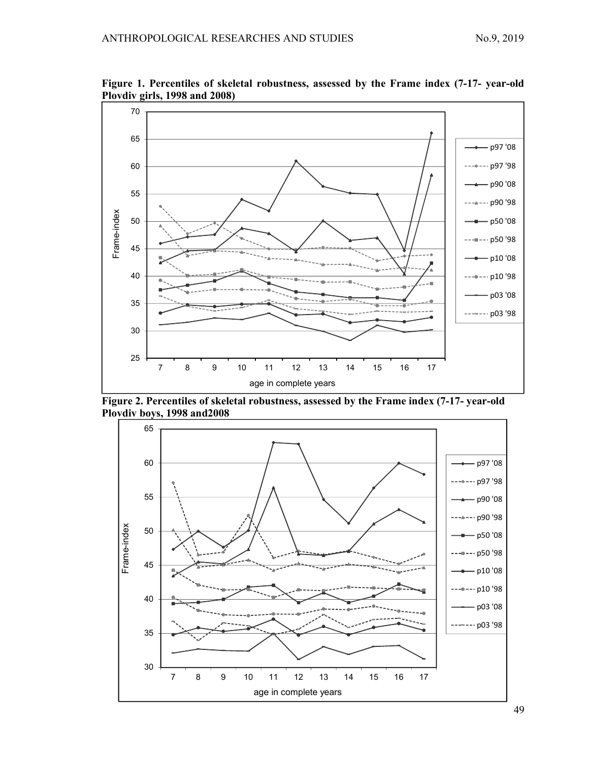

Figure 1. Percentiles of skeletal robustness, assessed by the Frame index (7-17- year-old Plovdiv girls, 1998 and 2008)

Figure 2. Percentiles of skeletal robustness, assessed by the Frame index (7-17- year-old Plovdiv boys, 1998 and2008



49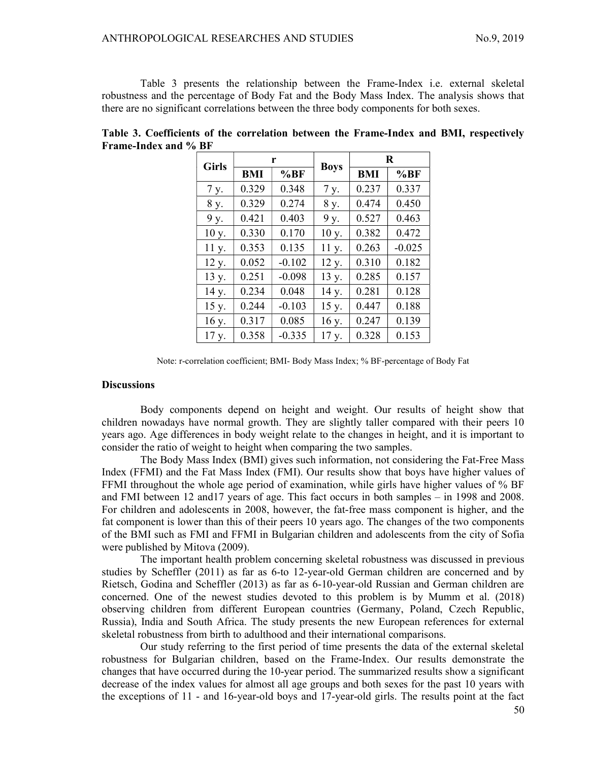Table 3 presents the relationship between the Frame-Index i.e. external skeletal robustness and the percentage of Body Fat and the Body Mass Index. The analysis shows that there are no significant correlations between the three body components for both sexes.

| <b>Girls</b> |       | r        |             | R     |          |  |  |
|--------------|-------|----------|-------------|-------|----------|--|--|
|              | BMI   | %BF      | <b>Boys</b> | BMI   | %BF      |  |  |
| 7 y.         | 0.329 | 0.348    | 7 y.        | 0.237 | 0.337    |  |  |
| 8 y.         | 0.329 | 0.274    | 8 y.        | 0.474 | 0.450    |  |  |
| 9 y.         | 0.421 | 0.403    | 9 y.        | 0.527 | 0.463    |  |  |
| 10 y.        | 0.330 | 0.170    | 10 y.       | 0.382 | 0.472    |  |  |
| 11 y.        | 0.353 | 0.135    | 11 y.       | 0.263 | $-0.025$ |  |  |
| 12 y.        | 0.052 | $-0.102$ | 12 y.       | 0.310 | 0.182    |  |  |
| 13 y.        | 0.251 | $-0.098$ | 13 y.       | 0.285 | 0.157    |  |  |
| 14 y.        | 0.234 | 0.048    | 14 y.       | 0.281 | 0.128    |  |  |
| 15 y.        | 0.244 | $-0.103$ | 15 y.       | 0.447 | 0.188    |  |  |
| 16 y.        | 0.317 | 0.085    | 16 y.       | 0.247 | 0.139    |  |  |
| 17 y.        | 0.358 | $-0.335$ | 17 y.       | 0.328 | 0.153    |  |  |

Table 3. Coefficients of the correlation between the Frame-Index and BMI, respectively Frame-Index and % BF

Note: r-correlation coefficient; BMI- Body Mass Index; % BF-percentage of Body Fat

# **Discussions**

Body components depend on height and weight. Our results of height show that children nowadays have normal growth. They are slightly taller compared with their peers 10 years ago. Age differences in body weight relate to the changes in height, and it is important to consider the ratio of weight to height when comparing the two samples.

The Body Mass Index (BMI) gives such information, not considering the Fat-Free Mass Index (FFMI) and the Fat Mass Index (FMI). Our results show that boys have higher values of FFMI throughout the whole age period of examination, while girls have higher values of % BF and FMI between 12 and17 years of age. This fact occurs in both samples – in 1998 and 2008. For children and adolescents in 2008, however, the fat-free mass component is higher, and the fat component is lower than this of their peers 10 years ago. The changes of the two components of the BMI such as FMI and FFMI in Bulgarian children and adolescents from the city of Sofia were published by Mitova (2009).

The important health problem concerning skeletal robustness was discussed in previous studies by Scheffler (2011) as far as 6-to 12-year-old German children are concerned and by Rietsch, Godina and Scheffler (2013) as far as 6-10-year-old Russian and German children are concerned. One of the newest studies devoted to this problem is by Mumm et al. (2018) observing children from different European countries (Germany, Poland, Czech Republic, Russia), India and South Africa. The study presents the new European references for external skeletal robustness from birth to adulthood and their international comparisons.

Our study referring to the first period of time presents the data of the external skeletal robustness for Bulgarian children, based on the Frame-Index. Our results demonstrate the changes that have occurred during the 10-year period. The summarized results show a significant decrease of the index values for almost all age groups and both sexes for the past 10 years with the exceptions of 11 - and 16-year-old boys and 17-year-old girls. The results point at the fact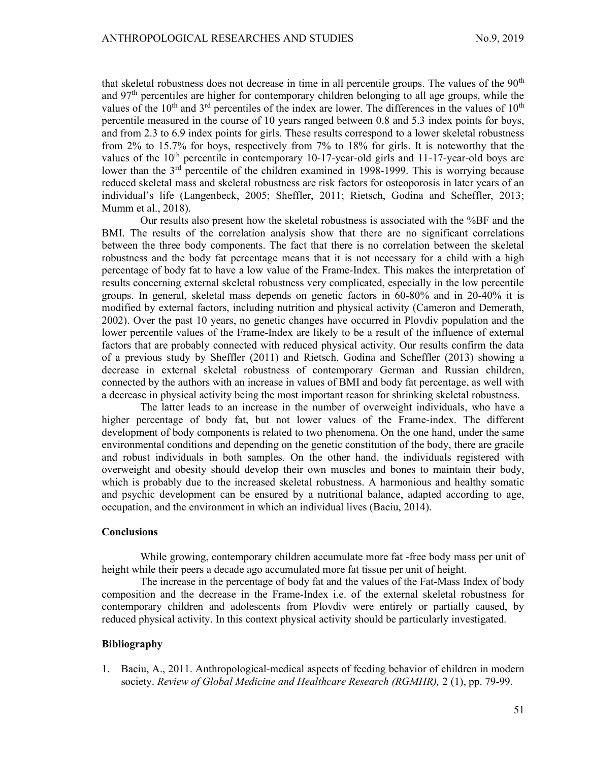that skeletal robustness does not decrease in time in all percentile groups. The values of the  $90<sup>th</sup>$ and 97<sup>th</sup> percentiles are higher for contemporary children belonging to all age groups, while the values of the  $10<sup>th</sup>$  and  $3<sup>rd</sup>$  percentiles of the index are lower. The differences in the values of  $10<sup>th</sup>$ percentile measured in the course of 10 years ranged between 0.8 and 5.3 index points for boys, and from 2.3 to 6.9 index points for girls. These results correspond to a lower skeletal robustness from 2% to 15.7% for boys, respectively from 7% to 18% for girls. It is noteworthy that the values of the  $10<sup>th</sup>$  percentile in contemporary 10-17-year-old girls and 11-17-year-old boys are lower than the  $3<sup>rd</sup>$  percentile of the children examined in 1998-1999. This is worrying because reduced skeletal mass and skeletal robustness are risk factors for osteoporosis in later years of an individual's life (Langenbeck, 2005; Sheffler, 2011; Rietsch, Godina and Scheffler, 2013; Mumm et al., 2018).

Our results also present how the skeletal robustness is associated with the %BF and the BMI. The results of the correlation analysis show that there are no significant correlations between the three body components. The fact that there is no correlation between the skeletal robustness and the body fat percentage means that it is not necessary for a child with a high percentage of body fat to have a low value of the Frame-Index. This makes the interpretation of results concerning external skeletal robustness very complicated, especially in the low percentile groups. In general, skeletal mass depends on genetic factors in 60-80% and in 20-40% it is modified by external factors, including nutrition and physical activity (Cameron and Demerath, 2002). Over the past 10 years, no genetic changes have occurred in Plovdiv population and the lower percentile values of the Frame-Index are likely to be a result of the influence of external factors that are probably connected with reduced physical activity. Our results confirm the data of a previous study by Sheffler (2011) and Rietsch, Godina and Scheffler (2013) showing a decrease in external skeletal robustness of contemporary German and Russian children, connected by the authors with an increase in values of BMI and body fat percentage, as well with a decrease in physical activity being the most important reason for shrinking skeletal robustness.

The latter leads to an increase in the number of overweight individuals, who have a higher percentage of body fat, but not lower values of the Frame-index. The different development of body components is related to two phenomena. On the one hand, under the same environmental conditions and depending on the genetic constitution of the body, there are gracile and robust individuals in both samples. On the other hand, the individuals registered with overweight and obesity should develop their own muscles and bones to maintain their body, which is probably due to the increased skeletal robustness. A harmonious and healthy somatic and psychic development can be ensured by a nutritional balance, adapted according to age, occupation, and the environment in which an individual lives (Baciu, 2014).

### **Conclusions**

While growing, contemporary children accumulate more fat -free body mass per unit of height while their peers a decade ago accumulated more fat tissue per unit of height.

The increase in the percentage of body fat and the values of the Fat-Mass Index of body composition and the decrease in the Frame-Index i.e. of the external skeletal robustness for contemporary children and adolescents from Plovdiv were entirely or partially caused, by reduced physical activity. In this context physical activity should be particularly investigated.

## Bibliography

1. Baciu, A., 2011. Anthropological-medical aspects of feeding behavior of children in modern society. Review of Global Medicine and Healthcare Research (RGMHR), 2 (1), pp. 79-99.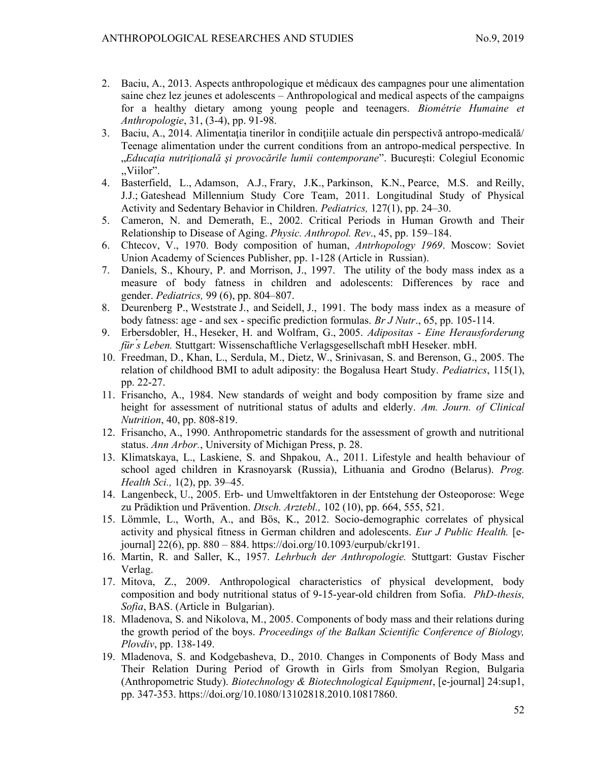- 2. Baciu, A., 2013. Aspects anthropologique et médicaux des campagnes pour une alimentation saine chez lez jeunes et adolescents – Anthropological and medical aspects of the campaigns for a healthy dietary among young people and teenagers. Biométrie Humaine et Anthropologie, 31, (3-4), pp. 91-98.
- 3. Baciu, A., 2014. Alimentaţia tinerilor în condiţiile actuale din perspectivă antropo-medicală/ Teenage alimentation under the current conditions from an antropo-medical perspective. In "Educația nutrițională și provocările lumii contemporane". București: Colegiul Economic ,,Viilor".
- 4. Basterfield, L., Adamson, A.J., Frary, J.K., Parkinson, K.N., Pearce, M.S. and Reilly, J.J.; Gateshead Millennium Study Core Team, 2011. Longitudinal Study of Physical Activity and Sedentary Behavior in Children. Pediatrics, 127(1), pp. 24–30.
- 5. Cameron, N. and Demerath, E., 2002. Critical Periods in Human Growth and Their Relationship to Disease of Aging. Physic. Anthropol. Rev., 45, pp. 159–184.
- 6. Chtecov, V., 1970. Body composition of human, Antrhopology 1969. Moscow: Soviet Union Academy of Sciences Publisher, pp. 1-128 (Article in Russian).
- 7. Daniels, S., Khoury, P. and Morrison, J., 1997. The utility of the body mass index as a measure of body fatness in children and adolescents: Differences by race and gender. Pediatrics, 99 (6), pp. 804–807.
- 8. Deurenberg P., Weststrate J., and Seidell, J., 1991. The body mass index as a measure of body fatness: age - and sex - specific prediction formulas. Br J Nutr., 65, pp. 105-114.
- 9. Erbersdobler, H., Heseker, H. and Wolfram, G., 2005. Adipositas Eine Herausforderung für ́s Leben. Stuttgart: Wissenschaftliche Verlagsgesellschaft mbH Heseker. mbH.
- 10. Freedman, D., Khan, L., Serdula, M., Dietz, W., Srinivasan, S. and Berenson, G., 2005. The relation of childhood BMI to adult adiposity: the Bogalusa Heart Study. Pediatrics, 115(1), pp. 22-27.
- 11. Frisancho, A., 1984. New standards of weight and body composition by frame size and height for assessment of nutritional status of adults and elderly. Am. Journ. of Clinical Nutrition, 40, pp. 808-819.
- 12. Frisancho, A., 1990. Anthropometric standards for the assessment of growth and nutritional status. Ann Arbor., University of Michigan Press, p. 28.
- 13. Klimatskaya, L., Laskiene, S. and Shpakou, A., 2011. Lifestyle and health behaviour of school aged children in Krasnoyarsk (Russia), Lithuania and Grodno (Belarus). Prog. Health Sci., 1(2), pp. 39–45.
- 14. Langenbeck, U., 2005. Erb- und Umweltfaktoren in der Entstehung der Osteoporose: Wege zu Prädiktion und Prävention. Dtsch. Arztebl., 102 (10), pp. 664, 555, 521.
- 15. Lömmle, L., Worth, A., and Bös, K., 2012. Socio-demographic correlates of physical activity and physical fitness in German children and adolescents. Eur J Public Health. [ejournal] 22(6), pp. 880 – 884. https://doi.org/10.1093/eurpub/ckr191.
- 16. Martin, R. and Saller, K., 1957. Lehrbuch der Anthropologiе. Stuttgart: Gustav Fischer Verlag.
- 17. Mitova, Z., 2009. Anthropological characteristics of physical development, body composition and body nutritional status of 9-15-year-old children from Sofia. PhD-thesis, Sofia, BAS. (Article in Bulgarian).
- 18. Mladenova, S. and Nikolova, M., 2005. Components of body mass and their relations during the growth period of the boys. Proceedings of the Balkan Scientific Conference of Biology, Plovdiv, pp. 138-149.
- 19. Mladenova, S. and Kodgebasheva, D., 2010. Changes in Components of Body Mass and Their Relation During Period of Growth in Girls from Smolyan Region, Bulgaria (Anthropometric Study). Biotechnology & Biotechnological Equipment, [e-journal] 24:sup1, pp. 347-353. https://doi.org/10.1080/13102818.2010.10817860.